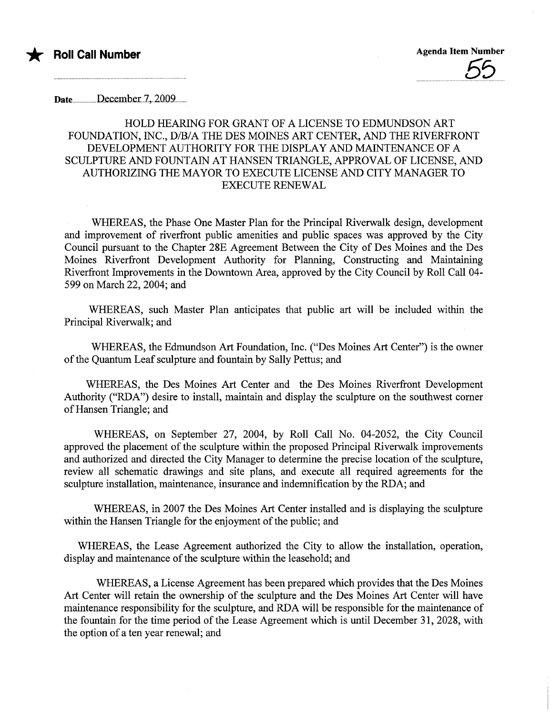

Date...........December.7, 2009........

## HOLD HEARING FOR GRANT OF A LICENSE TO EDMUNDSON ART FOUNDATION, INC., D/B/A THE DES MOINES ART CENTER, AND THE RIVERFRONT DEVELOPMENT AUTHORITY FOR THE DISPLAY AND MAINTENANCE OF A SCULPTURE AND FOUNTAIN AT HANSEN TRIANGLE, APPROVAL OF LICENSE, AND AUTHORIZING THE MAYOR TO EXECUTE LICENSE AND CITY MANAGER TO EXECUTE RENEWAL

WHEREAS, the Phase One Master Plan for the Principal Riverwalk design, development and improvement of riverfront public amenities and public spaces was approved by the City Council pursuant to the Chapter 28E Agreement Between the City of Des Moines and the Des Moines Riverfront Development Authority for Planning, Constructing and Maintaining Riverfront Improvements in the Downtown Area, approved by the City Council by Roll Call 04- 599 on March 22,2004; and

WHEREAS, such Master Plan anticipates that public art will be included within the Principal Riverwalk; and

WHEREAS, the Edmundson Art Foundation, Inc. ("Des Moines Art Center") is the owner of the Quantum Leaf sculpture and fountain by Sally Pettus; and

WHEREAS, the Des Moines Art Center and the Des Moines Riverfront Development Authority ("RDA") desire to install, maintain and display the sculpture on the southwest comer of Hansen Triangle; and

WHEREAS, on September 27, 2004, by Roll Call No. 04-2052, the City Council approved the placement of the sculpture within the proposed Principal Riverwalk improvements and authorized and directed the City Manager to determine the precise location of the sculptue, review all schematic drawings and site plans, and execute all required agreements for the sculpture installation, maintenance, insurance and indemnification by the RDA; and

WHEREAS, in 2007 the Des Moines Art Center installed and is displaying the sculpture within the Hansen Triangle for the enjoyment of the public; and

WHEREAS, the Lease Agreement authorized the City to allow the installation, operation, display and maintenance of the sculptue within the leasehold; and

WHEREAS, a License Agreement has been prepared which provides that the Des Moines Art Center will retain the ownership of the sculpture and the Des Moines Art Center will have maintenance responsibility for the sculpture, and RDA will be responsible for the maintenance of the fountain for the time period of the Lease Agreement which is until December 31, 2028, with the option of a ten year renewal; and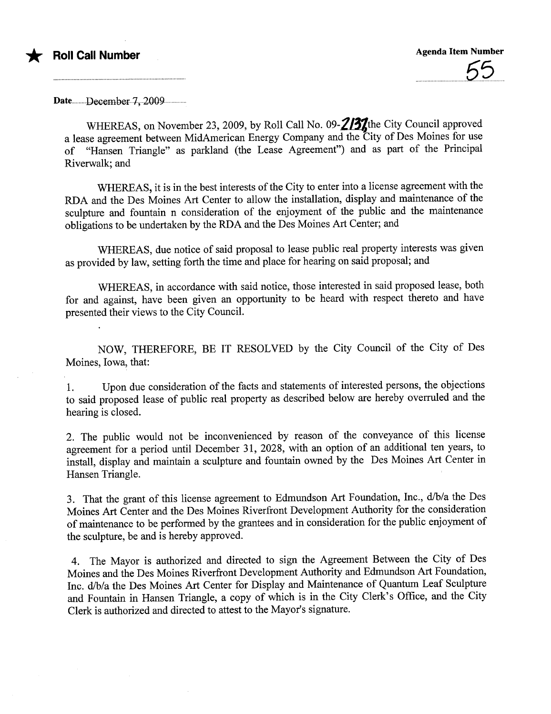

Date..........December..7,.2009................

WHEREAS, on November 23, 2009, by Roll Call No. 09- $2/3$ the City Council approved a lease agreement between MidAmerican Energy Company and the City of Des Moines for use of "Hansen Triangle" as parkland (the Lease Agreement") and as part of the Principal Riverwalk; and

WHEREAS, it is in the best interests of the City to enter into a license agreement with the RDA and the Des Moines Art Center to allow the installation, display and maintenance of the sculpture and fountain n consideration of the enjoyment of the public and the maintenance obligations to be undertaken by the RDA and the Des Moines Art Center; and

WHEREAS, due notice of said proposal to lease public real property interests was given as provided by law, setting forth the time and place for hearing on said proposal; and

WHEREAS, in accordance with said notice, those interested in said proposed lease, both for and against, have been given an opportunity to be heard with respect thereto and have presented their views to the City CounciL.

NOW, THEREFORE, BE IT RESOLVED by the City Council of the City of Des Moines, Iowa, that:

1. Upon due consideration of the facts and statements of interested persons, the objections to said proposed lease of public real property as described below are hereby overruled and the hearing is closed.

2. The public would not be inconvenienced by reason of the conveyance of this license agreement for a period until December 31, 2028, with an option of an additional ten years, to install, display and maintain a sculpture and fountain owned by the Des Moines Art Center in Hansen Triangle.

3. That the grant of this license agreement to Edmundson Art Foundation, Inc., d/b/a the Des Moines Art Center and the Des Moines Riverfront Development Authority for the consideration of maintenance to be performed by the grantees and in consideration for the public enjoyment of the sculptue, be and is hereby approved.

4. The Mayor is authorized and directed to sign the Agreement Between the City of Des Moines and the Des Moines Riverfront Development Authority and Edmundson Art Foundation, Inc. d/b/a the Des Moines Art Center for Display and Maintenance of Quantum Leaf Sculpture and Fountain in Hansen Triangle, a copy of which is in the City Clerk's Office, and the City Clerk is authorized and directed to attest to the Mayor's signature.